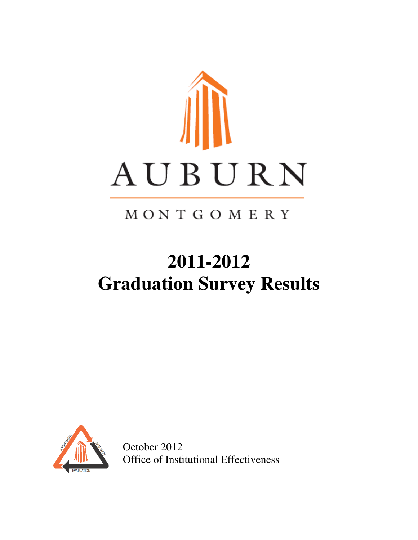

# MONTGOMERY

# **2011-2012 Graduation Survey Results**



October 2012 Office of Institutional Effectiveness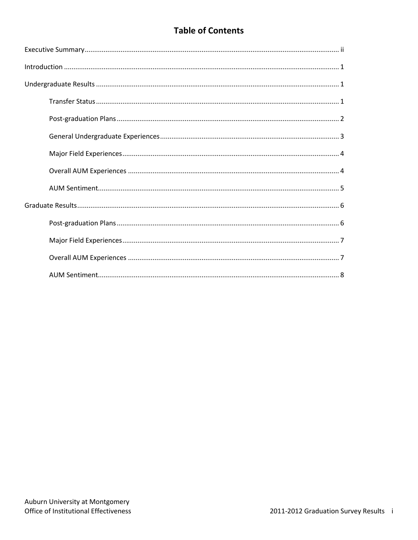# **Table of Contents**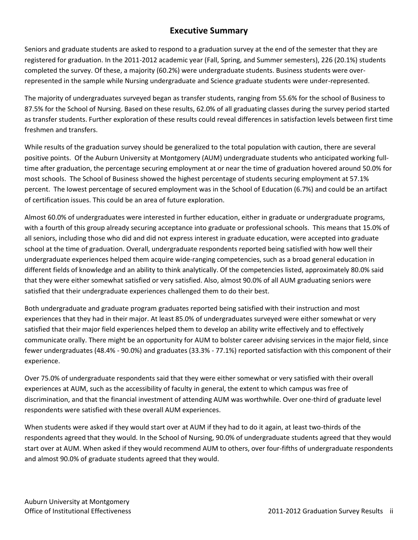## **Executive Summary**

Seniors and graduate students are asked to respond to a graduation survey at the end of the semester that they are registered for graduation. In the 2011-2012 academic year (Fall, Spring, and Summer semesters), 226 (20.1%) students completed the survey. Of these, a majority (60.2%) were undergraduate students. Business students were overrepresented in the sample while Nursing undergraduate and Science graduate students were under-represented.

The majority of undergraduates surveyed began as transfer students, ranging from 55.6% for the school of Business to 87.5% for the School of Nursing. Based on these results, 62.0% of all graduating classes during the survey period started as transfer students. Further exploration of these results could reveal differences in satisfaction levels between first time freshmen and transfers.

While results of the graduation survey should be generalized to the total population with caution, there are several positive points. Of the Auburn University at Montgomery (AUM) undergraduate students who anticipated working fulltime after graduation, the percentage securing employment at or near the time of graduation hovered around 50.0% for most schools. The School of Business showed the highest percentage of students securing employment at 57.1% percent. The lowest percentage of secured employment was in the School of Education (6.7%) and could be an artifact of certification issues. This could be an area of future exploration.

Almost 60.0% of undergraduates were interested in further education, either in graduate or undergraduate programs, with a fourth of this group already securing acceptance into graduate or professional schools. This means that 15.0% of all seniors, including those who did and did not express interest in graduate education, were accepted into graduate school at the time of graduation. Overall, undergraduate respondents reported being satisfied with how well their undergraduate experiences helped them acquire wide-ranging competencies, such as a broad general education in different fields of knowledge and an ability to think analytically. Of the competencies listed, approximately 80.0% said that they were either somewhat satisfied or very satisfied. Also, almost 90.0% of all AUM graduating seniors were satisfied that their undergraduate experiences challenged them to do their best.

Both undergraduate and graduate program graduates reported being satisfied with their instruction and most experiences that they had in their major. At least 85.0% of undergraduates surveyed were either somewhat or very satisfied that their major field experiences helped them to develop an ability write effectively and to effectively communicate orally. There might be an opportunity for AUM to bolster career advising services in the major field, since fewer undergraduates (48.4% - 90.0%) and graduates (33.3% - 77.1%) reported satisfaction with this component of their experience.

Over 75.0% of undergraduate respondents said that they were either somewhat or very satisfied with their overall experiences at AUM, such as the accessibility of faculty in general, the extent to which campus was free of discrimination, and that the financial investment of attending AUM was worthwhile. Over one-third of graduate level respondents were satisfied with these overall AUM experiences.

When students were asked if they would start over at AUM if they had to do it again, at least two-thirds of the respondents agreed that they would. In the School of Nursing, 90.0% of undergraduate students agreed that they would start over at AUM. When asked if they would recommend AUM to others, over four-fifths of undergraduate respondents and almost 90.0% of graduate students agreed that they would.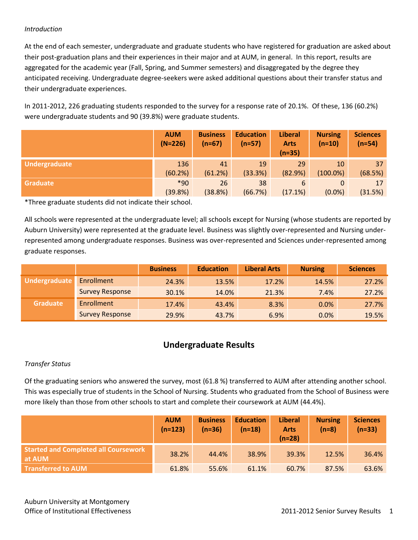#### *Introduction*

At the end of each semester, undergraduate and graduate students who have registered for graduation are asked about their post-graduation plans and their experiences in their major and at AUM, in general. In this report, results are aggregated for the academic year (Fall, Spring, and Summer semesters) and disaggregated by the degree they anticipated receiving. Undergraduate degree-seekers were asked additional questions about their transfer status and their undergraduate experiences.

In 2011-2012, 226 graduating students responded to the survey for a response rate of 20.1%. Of these, 136 (60.2%) were undergraduate students and 90 (39.8%) were graduate students.

|                 | <b>AUM</b><br>$(N=226)$ | <b>Business</b><br>$(n=67)$ | <b>Education</b><br>$(n=57)$ | <b>Liberal</b><br><b>Arts</b><br>$(n=35)$ | <b>Nursing</b><br>$(n=10)$ | <b>Sciences</b><br>$(n=54)$ |
|-----------------|-------------------------|-----------------------------|------------------------------|-------------------------------------------|----------------------------|-----------------------------|
| Undergraduate   | 136                     | 41                          | 19                           | 29                                        | 10                         | 37                          |
|                 | (60.2%)                 | (61.2%)                     | (33.3%)                      | (82.9%)                                   | $(100.0\%)$                | (68.5%)                     |
| <b>Graduate</b> | $*90$                   | 26                          | 38                           | 6                                         | 0                          | 17                          |
|                 | (39.8%)                 | (38.8%)                     | (66.7%)                      | (17.1%)                                   | $(0.0\%)$                  | (31.5%)                     |

\*Three graduate students did not indicate their school.

All schools were represented at the undergraduate level; all schools except for Nursing (whose students are reported by Auburn University) were represented at the graduate level. Business was slightly over-represented and Nursing underrepresented among undergraduate responses. Business was over-represented and Sciences under-represented among graduate responses.

|                 |                        | <b>Business</b> | <b>Education</b> | <b>Liberal Arts</b> | <b>Nursing</b> | <b>Sciences</b> |
|-----------------|------------------------|-----------------|------------------|---------------------|----------------|-----------------|
| Undergraduate   | Enrollment             | 24.3%           | 13.5%            | 17.2%               | 14.5%          | 27.2%           |
|                 | <b>Survey Response</b> | 30.1%           | 14.0%            | 21.3%               | 7.4%           | 27.2%           |
| <b>Graduate</b> | Enrollment             | 17.4%           | 43.4%            | 8.3%                | 0.0%           | 27.7%           |
|                 | <b>Survey Response</b> | 29.9%           | 43.7%            | 6.9%                | 0.0%           | 19.5%           |

### **Undergraduate Results**

#### *Transfer Status*

Of the graduating seniors who answered the survey, most (61.8 %) transferred to AUM after attending another school. This was especially true of students in the School of Nursing. Students who graduated from the School of Business were more likely than those from other schools to start and complete their coursework at AUM (44.4%).

|                                                       | <b>AUM</b><br>$(n=123)$ | <b>Business</b><br>$(n=36)$ | <b>Education</b><br>$(n=18)$ | <b>Liberal</b><br><b>Arts</b><br>$(n=28)$ | <b>Nursing</b><br>$(n=8)$ | <b>Sciences</b><br>$(n=33)$ |
|-------------------------------------------------------|-------------------------|-----------------------------|------------------------------|-------------------------------------------|---------------------------|-----------------------------|
| <b>Started and Completed all Coursework</b><br>at AUM | 38.2%                   | 44.4%                       | 38.9%                        | 39.3%                                     | 12.5%                     | 36.4%                       |
| <b>Transferred to AUM</b>                             | 61.8%                   | 55.6%                       | 61.1%                        | 60.7%                                     | 87.5%                     | 63.6%                       |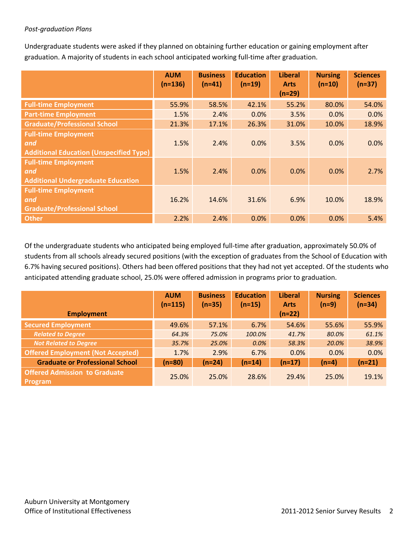#### *Post-graduation Plans*

Undergraduate students were asked if they planned on obtaining further education or gaining employment after graduation. A majority of students in each school anticipated working full-time after graduation.

|                                                                                      | <b>AUM</b><br>$(n=136)$ | <b>Business</b><br>$(n=41)$ | <b>Education</b><br>$(n=19)$ | <b>Liberal</b><br><b>Arts</b><br>$(n=29)$ | <b>Nursing</b><br>$(n=10)$ | <b>Sciences</b><br>$(n=37)$ |
|--------------------------------------------------------------------------------------|-------------------------|-----------------------------|------------------------------|-------------------------------------------|----------------------------|-----------------------------|
| <b>Full-time Employment</b>                                                          | 55.9%                   | 58.5%                       | 42.1%                        | 55.2%                                     | 80.0%                      | 54.0%                       |
| <b>Part-time Employment</b>                                                          | 1.5%                    | 2.4%                        | 0.0%                         | 3.5%                                      | 0.0%                       | 0.0%                        |
| <b>Graduate/Professional School</b>                                                  | 21.3%                   | 17.1%                       | 26.3%                        | 31.0%                                     | 10.0%                      | 18.9%                       |
| <b>Full-time Employment</b><br>and<br><b>Additional Education (Unspecified Type)</b> | 1.5%                    | 2.4%                        | 0.0%                         | 3.5%                                      | 0.0%                       | 0.0%                        |
| <b>Full-time Employment</b><br>and<br><b>Additional Undergraduate Education</b>      | 1.5%                    | 2.4%                        | 0.0%                         | 0.0%                                      | 0.0%                       | 2.7%                        |
| <b>Full-time Employment</b><br>and<br><b>Graduate/Professional School</b>            | 16.2%                   | 14.6%                       | 31.6%                        | 6.9%                                      | 10.0%                      | 18.9%                       |
| <b>Other</b>                                                                         | 2.2%                    | 2.4%                        | 0.0%                         | 0.0%                                      | 0.0%                       | 5.4%                        |

Of the undergraduate students who anticipated being employed full-time after graduation, approximately 50.0% of students from all schools already secured positions (with the exception of graduates from the School of Education with 6.7% having secured positions). Others had been offered positions that they had not yet accepted. Of the students who anticipated attending graduate school, 25.0% were offered admission in programs prior to graduation.

|                                                        | <b>AUM</b><br>$(n=115)$ | <b>Business</b><br>$(n=35)$ | <b>Education</b><br>$(n=15)$ | <b>Liberal</b><br><b>Arts</b> | <b>Nursing</b><br>$(n=9)$ | <b>Sciences</b><br>$(n=34)$ |
|--------------------------------------------------------|-------------------------|-----------------------------|------------------------------|-------------------------------|---------------------------|-----------------------------|
| <b>Employment</b>                                      |                         |                             |                              | $(n=22)$                      |                           |                             |
| <b>Secured Employment</b>                              | 49.6%                   | 57.1%                       | 6.7%                         | 54.6%                         | 55.6%                     | 55.9%                       |
| <b>Related to Degree</b>                               | 64.3%                   | 75.0%                       | 100.0%                       | 41.7%                         | 80.0%                     | 61.1%                       |
| <b>Not Related to Degree</b>                           | 35.7%                   | 25.0%                       | 0.0%                         | 58.3%                         | 20.0%                     | 38.9%                       |
| <b>Offered Employment (Not Accepted)</b>               | 1.7%                    | 2.9%                        | 6.7%                         | 0.0%                          | 0.0%                      | 0.0%                        |
| <b>Graduate or Professional School</b>                 | $(n=80)$                | $(n=24)$                    | $(n=14)$                     | $(n=17)$                      | $(n=4)$                   | $(n=21)$                    |
| <b>Offered Admission to Graduate</b><br><b>Program</b> | 25.0%                   | 25.0%                       | 28.6%                        | 29.4%                         | 25.0%                     | 19.1%                       |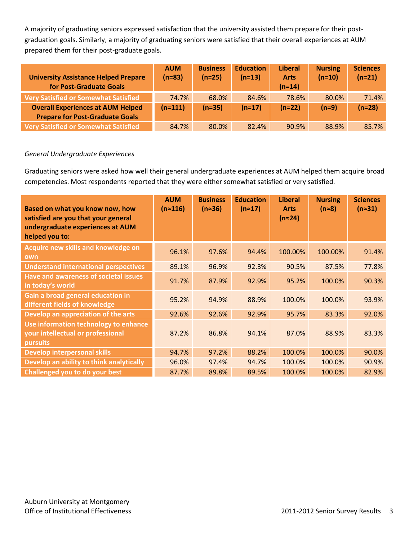A majority of graduating seniors expressed satisfaction that the university assisted them prepare for their postgraduation goals. Similarly, a majority of graduating seniors were satisfied that their overall experiences at AUM prepared them for their post-graduate goals.

| <b>University Assistance Helped Prepare</b><br>for Post-Graduate Goals | <b>AUM</b><br>$(n=83)$ | <b>Business</b><br>$(n=25)$ | <b>Education</b><br>$(n=13)$ | <b>Liberal</b><br><b>Arts</b><br>$(n=14)$ | <b>Nursing</b><br>$(n=10)$ | <b>Sciences</b><br>$(n=21)$ |
|------------------------------------------------------------------------|------------------------|-----------------------------|------------------------------|-------------------------------------------|----------------------------|-----------------------------|
| <b>Very Satisfied or Somewhat Satisfied</b>                            | 74.7%                  | 68.0%                       | 84.6%                        | 78.6%                                     | 80.0%                      | 71.4%                       |
| <b>Overall Experiences at AUM Helped</b>                               | $(n=111)$              | $(n=35)$                    | $(n=17)$                     | $(n=22)$                                  | $(n=9)$                    | $(n=28)$                    |
| <b>Prepare for Post-Graduate Goals</b>                                 |                        |                             |                              |                                           |                            |                             |
| <b>Very Satisfied or Somewhat Satisfied</b>                            | 84.7%                  | 80.0%                       | 82.4%                        | 90.9%                                     | 88.9%                      | 85.7%                       |

#### *General Undergraduate Experiences*

Graduating seniors were asked how well their general undergraduate experiences at AUM helped them acquire broad competencies. Most respondents reported that they were either somewhat satisfied or very satisfied.

| Based on what you know now, how<br>satisfied are you that your general<br>undergraduate experiences at AUM<br>helped you to: | <b>AUM</b><br>(n≈116) | <b>Business</b><br>$(n=36)$ | <b>Education</b><br>$(n \approx 17)$ | <b>Liberal</b><br><b>Arts</b><br>$(n \approx 24)$ | <b>Nursing</b><br>$(n=8)$ | <b>Sciences</b><br>$(n=31)$ |
|------------------------------------------------------------------------------------------------------------------------------|-----------------------|-----------------------------|--------------------------------------|---------------------------------------------------|---------------------------|-----------------------------|
| Acquire new skills and knowledge on<br>own                                                                                   | 96.1%                 | 97.6%                       | 94.4%                                | 100.00%                                           | 100.00%                   | 91.4%                       |
| <b>Understand international perspectives</b>                                                                                 | 89.1%                 | 96.9%                       | 92.3%                                | 90.5%                                             | 87.5%                     | 77.8%                       |
| Have and awareness of societal issues<br>in today's world                                                                    | 91.7%                 | 87.9%                       | 92.9%                                | 95.2%                                             | 100.0%                    | 90.3%                       |
| Gain a broad general education in<br>different fields of knowledge                                                           | 95.2%                 | 94.9%                       | 88.9%                                | 100.0%                                            | 100.0%                    | 93.9%                       |
| Develop an appreciation of the arts                                                                                          | 92.6%                 | 92.6%                       | 92.9%                                | 95.7%                                             | 83.3%                     | 92.0%                       |
| Use information technology to enhance<br>your intellectual or professional<br><b>pursuits</b>                                | 87.2%                 | 86.8%                       | 94.1%                                | 87.0%                                             | 88.9%                     | 83.3%                       |
| <b>Develop interpersonal skills</b>                                                                                          | 94.7%                 | 97.2%                       | 88.2%                                | 100.0%                                            | 100.0%                    | 90.0%                       |
| Develop an ability to think analytically                                                                                     | 96.0%                 | 97.4%                       | 94.7%                                | 100.0%                                            | 100.0%                    | 90.9%                       |
| <b>Challenged you to do your best</b>                                                                                        | 87.7%                 | 89.8%                       | 89.5%                                | 100.0%                                            | 100.0%                    | 82.9%                       |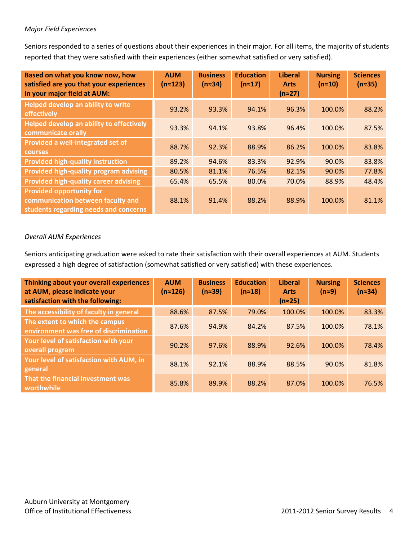#### *Major Field Experiences*

Seniors responded to a series of questions about their experiences in their major. For all items, the majority of students reported that they were satisfied with their experiences (either somewhat satisfied or very satisfied).

| Based on what you know now, how<br>satisfied are you that your experiences<br>in your major field at AUM:     | <b>AUM</b><br>$(n \approx 123)$ | <b>Business</b><br>$(n=34)$ | <b>Education</b><br>$(n \approx 17)$ | <b>Liberal</b><br><b>Arts</b><br>$(n \approx 27)$ | <b>Nursing</b><br>$(n \approx 10)$ | <b>Sciences</b><br>$(n \approx 35)$ |
|---------------------------------------------------------------------------------------------------------------|---------------------------------|-----------------------------|--------------------------------------|---------------------------------------------------|------------------------------------|-------------------------------------|
| <b>Helped develop an ability to write</b><br>effectively                                                      | 93.2%                           | 93.3%                       | 94.1%                                | 96.3%                                             | 100.0%                             | 88.2%                               |
| Helped develop an ability to effectively<br>communicate orally                                                | 93.3%                           | 94.1%                       | 93.8%                                | 96.4%                                             | 100.0%                             | 87.5%                               |
| Provided a well-integrated set of<br><b>courses</b>                                                           | 88.7%                           | 92.3%                       | 88.9%                                | 86.2%                                             | 100.0%                             | 83.8%                               |
| <b>Provided high-quality instruction</b>                                                                      | 89.2%                           | 94.6%                       | 83.3%                                | 92.9%                                             | 90.0%                              | 83.8%                               |
| <b>Provided high-quality program advising</b>                                                                 | 80.5%                           | 81.1%                       | 76.5%                                | 82.1%                                             | 90.0%                              | 77.8%                               |
| <b>Provided high-quality career advising</b>                                                                  | 65.4%                           | 65.5%                       | 80.0%                                | 70.0%                                             | 88.9%                              | 48.4%                               |
| <b>Provided opportunity for</b><br>communication between faculty and<br>students regarding needs and concerns | 88.1%                           | 91.4%                       | 88.2%                                | 88.9%                                             | 100.0%                             | 81.1%                               |

#### *Overall AUM Experiences*

Seniors anticipating graduation were asked to rate their satisfaction with their overall experiences at AUM. Students expressed a high degree of satisfaction (somewhat satisfied or very satisfied) with these experiences.

| Thinking about your overall experiences<br>at AUM, please indicate your<br>satisfaction with the following: | <b>AUM</b><br>(n≈126) | <b>Business</b><br>$(n \approx 39)$ | <b>Education</b><br>$(n \approx 18)$ | <b>Liberal</b><br><b>Arts</b><br>$(n \approx 25)$ | <b>Nursing</b><br>$(n=9)$ | <b>Sciences</b><br>$(n=34)$ |
|-------------------------------------------------------------------------------------------------------------|-----------------------|-------------------------------------|--------------------------------------|---------------------------------------------------|---------------------------|-----------------------------|
| The accessibility of faculty in general                                                                     | 88.6%                 | 87.5%                               | 79.0%                                | 100.0%                                            | 100.0%                    | 83.3%                       |
| The extent to which the campus<br>environment was free of discrimination                                    | 87.6%                 | 94.9%                               | 84.2%                                | 87.5%                                             | 100.0%                    | 78.1%                       |
| Your level of satisfaction with your<br>overall program                                                     | 90.2%                 | 97.6%                               | 88.9%                                | 92.6%                                             | 100.0%                    | 78.4%                       |
| Your level of satisfaction with AUM, in<br>general                                                          | 88.1%                 | 92.1%                               | 88.9%                                | 88.5%                                             | 90.0%                     | 81.8%                       |
| That the financial investment was<br>worthwhile                                                             | 85.8%                 | 89.9%                               | 88.2%                                | 87.0%                                             | 100.0%                    | 76.5%                       |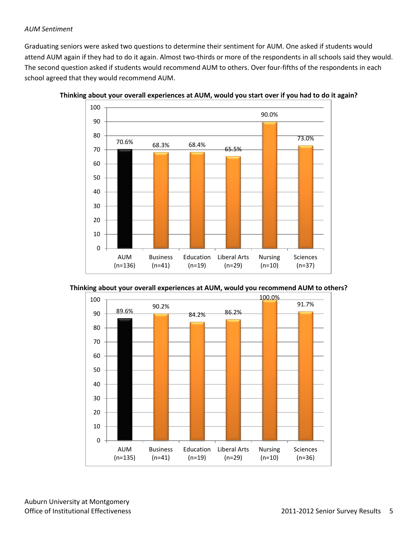#### *AUM Sentiment*

Graduating seniors were asked two questions to determine their sentiment for AUM. One asked if students would attend AUM again if they had to do it again. Almost two-thirds or more of the respondents in all schools said they would. The second question asked if students would recommend AUM to others. Over four-fifths of the respondents in each school agreed that they would recommend AUM.









Auburn University at Montgomery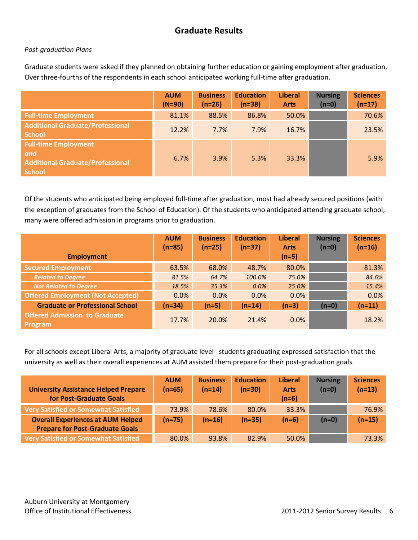# **Graduate Results**

#### *Post-graduation Plans*

Graduate students were asked if they planned on obtaining further education or gaining employment after graduation. Over three-fourths of the respondents in each school anticipated working full-time after graduation.

|                                                                                                | <b>AUM</b><br>$(N=90)$ | <b>Business</b><br>$(n=26)$ | <b>Education</b><br>$(n=38)$ | <b>Liberal</b><br><b>Arts</b> | <b>Nursing</b><br>$(n=0)$ | <b>Sciences</b><br>$(n=17)$ |
|------------------------------------------------------------------------------------------------|------------------------|-----------------------------|------------------------------|-------------------------------|---------------------------|-----------------------------|
| <b>Full-time Employment</b>                                                                    | 81.1%                  | 88.5%                       | 86.8%                        | 50.0%                         |                           | 70.6%                       |
| <b>Additional Graduate/Professional</b><br><b>School</b>                                       | 12.2%                  | 7.7%                        | 7.9%                         | 16.7%                         |                           | 23.5%                       |
| <b>Full-time Employment</b><br>and<br><b>Additional Graduate/Professional</b><br><b>School</b> | 6.7%                   | 3.9%                        | 5.3%                         | 33.3%                         |                           | 5.9%                        |

Of the students who anticipated being employed full-time after graduation, most had already secured positions (with the exception of graduates from the School of Education). Of the students who anticipated attending graduate school, many were offered admission in programs prior to graduation.

|                                                        | <b>AUM</b><br>$(n=85)$ | <b>Business</b><br>$(n=25)$ | <b>Education</b><br>$(n=37)$ | <b>Liberal</b><br><b>Arts</b> | <b>Nursing</b><br>$(n=0)$ | <b>Sciences</b><br>$(n=16)$ |
|--------------------------------------------------------|------------------------|-----------------------------|------------------------------|-------------------------------|---------------------------|-----------------------------|
| <b>Employment</b>                                      |                        |                             |                              | $(n=5)$                       |                           |                             |
| <b>Secured Employment</b>                              | 63.5%                  | 68.0%                       | 48.7%                        | 80.0%                         |                           | 81.3%                       |
| <b>Related to Degree</b>                               | 81.5%                  | 64.7%                       | 100.0%                       | 75.0%                         |                           | 84.6%                       |
| <b>Not Related to Degree</b>                           | 18.5%                  | 35.3%                       | 0.0%                         | 25.0%                         |                           | 15.4%                       |
| <b>Offered Employment (Not Accepted)</b>               | 0.0%                   | 0.0%                        | 0.0%                         | 0.0%                          |                           | 0.0%                        |
| <b>Graduate or Professional School</b>                 | $(n=34)$               | $(n=5)$                     | $(n=14)$                     | $(n=3)$                       | $(n=0)$                   | $(n=11)$                    |
| <b>Offered Admission to Graduate</b><br><b>Program</b> | 17.7%                  | 20.0%                       | 21.4%                        | 0.0%                          |                           | 18.2%                       |

For all schools except Liberal Arts, a majority of graduate level students graduating expressed satisfaction that the university as well as their overall experiences at AUM assisted them prepare for their post-graduation goals.

| <b>University Assistance Helped Prepare</b><br>for Post-Graduate Goals             | <b>AUM</b><br>$(n=65)$ | <b>Business</b><br>$(n=14)$ | <b>Education</b><br>$(n=30)$ | <b>Liberal</b><br><b>Arts</b><br>$(n=6)$ | <b>Nursing</b><br>$(n=0)$ | <b>Sciences</b><br>$(n=13)$ |
|------------------------------------------------------------------------------------|------------------------|-----------------------------|------------------------------|------------------------------------------|---------------------------|-----------------------------|
| Very Satisfied or Somewhat Satisfied                                               | 73.9%                  | 78.6%                       | 80.0%                        | 33.3%                                    |                           | 76.9%                       |
| <b>Overall Experiences at AUM Helped</b><br><b>Prepare for Post-Graduate Goals</b> | $(n=75)$               | $(n=16)$                    | $(n=35)$                     | $(n=6)$                                  | $(n=0)$                   | $(n=15)$                    |
| <b>Very Satisfied or Somewhat Satisfied</b>                                        | 80.0%                  | 93.8%                       | 82.9%                        | 50.0%                                    |                           | 73.3%                       |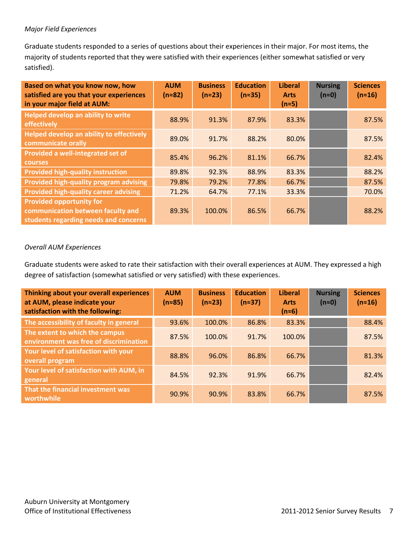#### *Major Field Experiences*

Graduate students responded to a series of questions about their experiences in their major. For most items, the majority of students reported that they were satisfied with their experiences (either somewhat satisfied or very satisfied).

| Based on what you know now, how<br>satisfied are you that your experiences<br>in your major field at AUM:     | <b>AUM</b><br>$(n=82)$ | <b>Business</b><br>$(n \approx 23)$ | <b>Education</b><br>$(n \approx 35)$ | <b>Liberal</b><br><b>Arts</b><br>$(n \approx 5)$ | <b>Nursing</b><br>$(n \approx 0)$ | <b>Sciences</b><br>$(n \approx 16)$ |
|---------------------------------------------------------------------------------------------------------------|------------------------|-------------------------------------|--------------------------------------|--------------------------------------------------|-----------------------------------|-------------------------------------|
| Helped develop an ability to write<br>effectively                                                             | 88.9%                  | 91.3%                               | 87.9%                                | 83.3%                                            |                                   | 87.5%                               |
| Helped develop an ability to effectively<br>communicate orally                                                | 89.0%                  | 91.7%                               | 88.2%                                | 80.0%                                            |                                   | 87.5%                               |
| Provided a well-integrated set of<br><b>courses</b>                                                           | 85.4%                  | 96.2%                               | 81.1%                                | 66.7%                                            |                                   | 82.4%                               |
| <b>Provided high-quality instruction</b>                                                                      | 89.8%                  | 92.3%                               | 88.9%                                | 83.3%                                            |                                   | 88.2%                               |
| Provided high-quality program advising                                                                        | 79.8%                  | 79.2%                               | 77.8%                                | 66.7%                                            |                                   | 87.5%                               |
| <b>Provided high-quality career advising</b>                                                                  | 71.2%                  | 64.7%                               | 77.1%                                | 33.3%                                            |                                   | 70.0%                               |
| <b>Provided opportunity for</b><br>communication between faculty and<br>students regarding needs and concerns | 89.3%                  | 100.0%                              | 86.5%                                | 66.7%                                            |                                   | 88.2%                               |

#### *Overall AUM Experiences*

Graduate students were asked to rate their satisfaction with their overall experiences at AUM. They expressed a high degree of satisfaction (somewhat satisfied or very satisfied) with these experiences.

| Thinking about your overall experiences<br>at AUM, please indicate your<br>satisfaction with the following: | <b>AUM</b><br>$(n \approx 85)$ | <b>Business</b><br>$(n \approx 23)$ | <b>Education</b><br>$(n=37)$ | <b>Liberal</b><br><b>Arts</b><br>$(n=6)$ | <b>Nursing</b><br>$(n \approx 0)$ | <b>Sciences</b><br>$(n \approx 16)$ |
|-------------------------------------------------------------------------------------------------------------|--------------------------------|-------------------------------------|------------------------------|------------------------------------------|-----------------------------------|-------------------------------------|
| The accessibility of faculty in general                                                                     | 93.6%                          | 100.0%                              | 86.8%                        | 83.3%                                    |                                   | 88.4%                               |
| The extent to which the campus<br>environment was free of discrimination                                    | 87.5%                          | 100.0%                              | 91.7%                        | 100.0%                                   |                                   | 87.5%                               |
| Your level of satisfaction with your<br>overall program                                                     | 88.8%                          | 96.0%                               | 86.8%                        | 66.7%                                    |                                   | 81.3%                               |
| Your level of satisfaction with AUM, in<br>general                                                          | 84.5%                          | 92.3%                               | 91.9%                        | 66.7%                                    |                                   | 82.4%                               |
| That the financial investment was<br>worthwhile                                                             | 90.9%                          | 90.9%                               | 83.8%                        | 66.7%                                    |                                   | 87.5%                               |